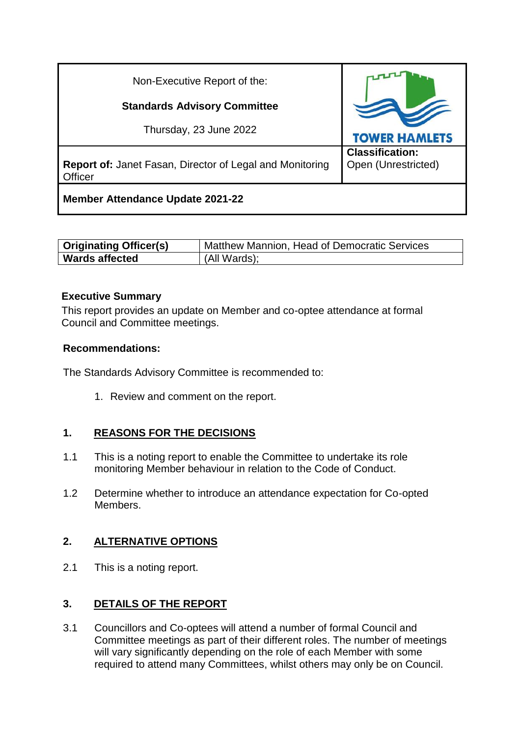| Non-Executive Report of the:                                               |                                               |  |
|----------------------------------------------------------------------------|-----------------------------------------------|--|
| <b>Standards Advisory Committee</b>                                        |                                               |  |
| Thursday, 23 June 2022                                                     | <b>TOWER HAMLETS</b>                          |  |
| <b>Report of: Janet Fasan, Director of Legal and Monitoring</b><br>Officer | <b>Classification:</b><br>Open (Unrestricted) |  |
| <b>Member Attendance Update 2021-22</b>                                    |                                               |  |

| <b>Originating Officer(s)</b> | Matthew Mannion, Head of Democratic Services |
|-------------------------------|----------------------------------------------|
| <b>Wards affected</b>         | (All Wards);                                 |

#### **Executive Summary**

This report provides an update on Member and co-optee attendance at formal Council and Committee meetings.

#### **Recommendations:**

The Standards Advisory Committee is recommended to:

1. Review and comment on the report.

#### **1. REASONS FOR THE DECISIONS**

- 1.1 This is a noting report to enable the Committee to undertake its role monitoring Member behaviour in relation to the Code of Conduct.
- 1.2 Determine whether to introduce an attendance expectation for Co-opted Members.

## **2. ALTERNATIVE OPTIONS**

2.1 This is a noting report.

#### **3. DETAILS OF THE REPORT**

3.1 Councillors and Co-optees will attend a number of formal Council and Committee meetings as part of their different roles. The number of meetings will vary significantly depending on the role of each Member with some required to attend many Committees, whilst others may only be on Council.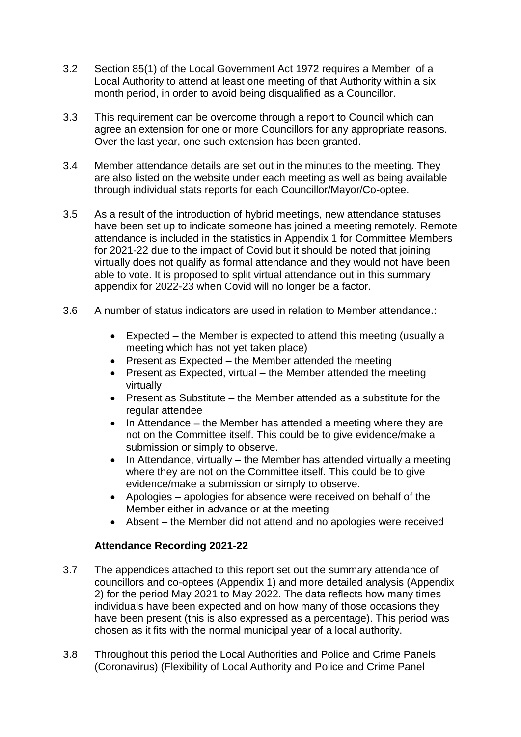- 3.2 Section 85(1) of the Local Government Act 1972 requires a Member of a Local Authority to attend at least one meeting of that Authority within a six month period, in order to avoid being disqualified as a Councillor.
- 3.3 This requirement can be overcome through a report to Council which can agree an extension for one or more Councillors for any appropriate reasons. Over the last year, one such extension has been granted.
- 3.4 Member attendance details are set out in the minutes to the meeting. They are also listed on the website under each meeting as well as being available through individual stats reports for each Councillor/Mayor/Co-optee.
- 3.5 As a result of the introduction of hybrid meetings, new attendance statuses have been set up to indicate someone has joined a meeting remotely. Remote attendance is included in the statistics in Appendix 1 for Committee Members for 2021-22 due to the impact of Covid but it should be noted that joining virtually does not qualify as formal attendance and they would not have been able to vote. It is proposed to split virtual attendance out in this summary appendix for 2022-23 when Covid will no longer be a factor.
- 3.6 A number of status indicators are used in relation to Member attendance.:
	- Expected the Member is expected to attend this meeting (usually a meeting which has not yet taken place)
	- $\bullet$  Present as Expected the Member attended the meeting
	- $\bullet$  Present as Expected, virtual the Member attended the meeting virtually
	- Present as Substitute the Member attended as a substitute for the regular attendee
	- $\bullet$  In Attendance the Member has attended a meeting where they are not on the Committee itself. This could be to give evidence/make a submission or simply to observe.
	- $\bullet$  In Attendance, virtually the Member has attended virtually a meeting where they are not on the Committee itself. This could be to give evidence/make a submission or simply to observe.
	- Apologies apologies for absence were received on behalf of the Member either in advance or at the meeting
	- Absent the Member did not attend and no apologies were received

## **Attendance Recording 2021-22**

- 3.7 The appendices attached to this report set out the summary attendance of councillors and co-optees (Appendix 1) and more detailed analysis (Appendix 2) for the period May 2021 to May 2022. The data reflects how many times individuals have been expected and on how many of those occasions they have been present (this is also expressed as a percentage). This period was chosen as it fits with the normal municipal year of a local authority.
- 3.8 Throughout this period the Local Authorities and Police and Crime Panels (Coronavirus) (Flexibility of Local Authority and Police and Crime Panel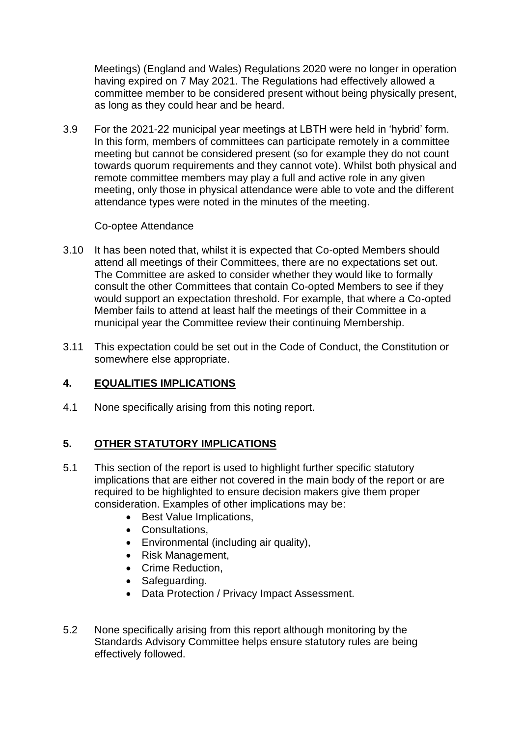Meetings) (England and Wales) Regulations 2020 were no longer in operation having expired on 7 May 2021. The Regulations had effectively allowed a committee member to be considered present without being physically present, as long as they could hear and be heard.

3.9 For the 2021-22 municipal year meetings at LBTH were held in 'hybrid' form. In this form, members of committees can participate remotely in a committee meeting but cannot be considered present (so for example they do not count towards quorum requirements and they cannot vote). Whilst both physical and remote committee members may play a full and active role in any given meeting, only those in physical attendance were able to vote and the different attendance types were noted in the minutes of the meeting.

#### Co-optee Attendance

- 3.10 It has been noted that, whilst it is expected that Co-opted Members should attend all meetings of their Committees, there are no expectations set out. The Committee are asked to consider whether they would like to formally consult the other Committees that contain Co-opted Members to see if they would support an expectation threshold. For example, that where a Co-opted Member fails to attend at least half the meetings of their Committee in a municipal year the Committee review their continuing Membership.
- 3.11 This expectation could be set out in the Code of Conduct, the Constitution or somewhere else appropriate.

## **4. EQUALITIES IMPLICATIONS**

4.1 None specifically arising from this noting report.

## **5. OTHER STATUTORY IMPLICATIONS**

- 5.1 This section of the report is used to highlight further specific statutory implications that are either not covered in the main body of the report or are required to be highlighted to ensure decision makers give them proper consideration. Examples of other implications may be:
	- Best Value Implications,
	- Consultations,
	- Environmental (including air quality),
	- Risk Management,
	- Crime Reduction,
	- Safeguarding.
	- Data Protection / Privacy Impact Assessment.
- 5.2 None specifically arising from this report although monitoring by the Standards Advisory Committee helps ensure statutory rules are being effectively followed.